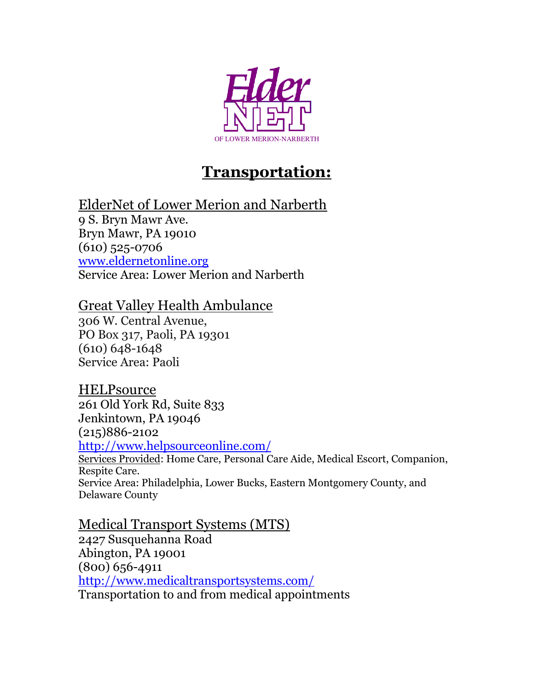

## **Transportation:**

ElderNet of Lower Merion and Narberth

9 S. Bryn Mawr Ave. Bryn Mawr, PA 19010 (610) 525-0706 <www.eldernetonline.org> Service Area: Lower Merion and Narberth

## Great Valley Health Ambulance

306 W. Central Avenue, PO Box 317, Paoli, PA 19301 (610) 648-1648 Service Area: Paoli

## **HELPsource**

261 Old York Rd, Suite 833 Jenkintown, PA 19046 (215)886-2102

<http://www.helpsourceonline.com/>

Services Provided: Home Care, Personal Care Aide, Medical Escort, Companion, Respite Care. Service Area: Philadelphia, Lower Bucks, Eastern Montgomery County, and Delaware County

Medical Transport Systems (MTS) 2427 Susquehanna Road Abington, PA 19001 (800) 656-4911 <http://www.medicaltransportsystems.com/> Transportation to and from medical appointments